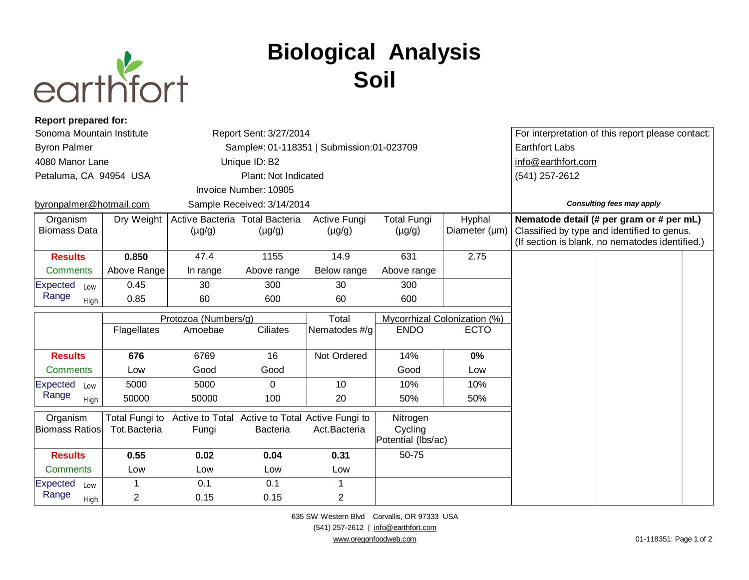

## **Biological Analysis Soil**

| <b>Report prepared for:</b>       |                                |                                               |                                                    |                                       |                                           |                                  |                                                   |                                                                                                                                            |  |
|-----------------------------------|--------------------------------|-----------------------------------------------|----------------------------------------------------|---------------------------------------|-------------------------------------------|----------------------------------|---------------------------------------------------|--------------------------------------------------------------------------------------------------------------------------------------------|--|
| Sonoma Mountain Institute         |                                | Report Sent: 3/27/2014                        |                                                    |                                       |                                           |                                  | For interpretation of this report please contact: |                                                                                                                                            |  |
| <b>Byron Palmer</b>               |                                | Sample#: 01-118351   Submission:01-023709     |                                                    |                                       |                                           |                                  | <b>Earthfort Labs</b>                             |                                                                                                                                            |  |
| 4080 Manor Lane                   |                                | Unique ID: B2                                 |                                                    |                                       |                                           |                                  | info@earthfort.com                                |                                                                                                                                            |  |
| Petaluma, CA 94954 USA            |                                | Plant: Not Indicated                          |                                                    |                                       |                                           |                                  | (541) 257-2612                                    |                                                                                                                                            |  |
|                                   |                                |                                               | Invoice Number: 10905                              |                                       |                                           |                                  |                                                   |                                                                                                                                            |  |
| byronpalmer@hotmail.com           |                                | Sample Received: 3/14/2014                    |                                                    |                                       |                                           | <b>Consulting fees may apply</b> |                                                   |                                                                                                                                            |  |
| Organism<br><b>Biomass Data</b>   | Dry Weight                     | Active Bacteria Total Bacteria<br>$(\mu g/g)$ | $(\mu g/g)$                                        | Active Fungi<br>$(\mu g/g)$           | <b>Total Fungi</b><br>$(\mu g/g)$         | Hyphal<br>Diameter (µm)          |                                                   | Nematode detail (# per gram or # per mL)<br>Classified by type and identified to genus.<br>(If section is blank, no nematodes identified.) |  |
| <b>Results</b>                    | 0.850                          | 47.4                                          | 1155                                               | 14.9                                  | 631                                       | 2.75                             |                                                   |                                                                                                                                            |  |
| <b>Comments</b>                   | Above Range                    | In range                                      | Above range                                        | Below range                           | Above range                               |                                  |                                                   |                                                                                                                                            |  |
| <b>Expected</b><br>Low            | 0.45                           | 30                                            | 300                                                | 30                                    | 300                                       |                                  |                                                   |                                                                                                                                            |  |
| Range<br>High                     | 0.85                           | 60                                            | 600                                                | 60                                    | 600                                       |                                  |                                                   |                                                                                                                                            |  |
|                                   |                                | Protozoa (Numbers/g)                          |                                                    | Total<br>Mycorrhizal Colonization (%) |                                           |                                  |                                                   |                                                                                                                                            |  |
|                                   |                                |                                               |                                                    |                                       |                                           |                                  |                                                   |                                                                                                                                            |  |
|                                   | Flagellates                    | Amoebae                                       | <b>Ciliates</b>                                    | Nematodes #/g                         | <b>ENDO</b>                               | <b>ECTO</b>                      |                                                   |                                                                                                                                            |  |
| <b>Results</b>                    | 676                            | 6769                                          | 16                                                 | Not Ordered                           | 14%                                       | $0\%$                            |                                                   |                                                                                                                                            |  |
| <b>Comments</b>                   | Low                            | Good                                          | Good                                               |                                       | Good                                      | Low                              |                                                   |                                                                                                                                            |  |
| <b>Expected</b><br>Low            | 5000                           | 5000                                          | $\Omega$                                           | 10                                    | 10%                                       | 10%                              |                                                   |                                                                                                                                            |  |
| Range<br>High                     | 50000                          | 50000                                         | 100                                                | 20                                    | 50%                                       | 50%                              |                                                   |                                                                                                                                            |  |
| Organism<br><b>Biomass Ratios</b> | Total Fungi to<br>Tot.Bacteria | Active to Total<br>Fungi                      | Active to Total Active Fungi to<br><b>Bacteria</b> | Act.Bacteria                          | Nitrogen<br>Cycling<br>Potential (Ibs/ac) |                                  |                                                   |                                                                                                                                            |  |
| <b>Results</b>                    | 0.55                           | 0.02                                          | 0.04                                               | 0.31                                  | 50-75                                     |                                  |                                                   |                                                                                                                                            |  |
| <b>Comments</b>                   | Low                            | Low                                           | Low                                                | Low                                   |                                           |                                  |                                                   |                                                                                                                                            |  |
| <b>Expected</b><br>Low<br>Range   | $\mathbf 1$                    | 0.1                                           | 0.1                                                | 1                                     |                                           |                                  |                                                   |                                                                                                                                            |  |

635 SW Western Blvd Corvallis, OR 97333 USA (541) 257-2612 | [info@earthfort.com](mailto:info@earthfort.com) [www.oregonfoodweb.com](http://www.oregonfoodweb.com) 01-118351: Page 1 of 2